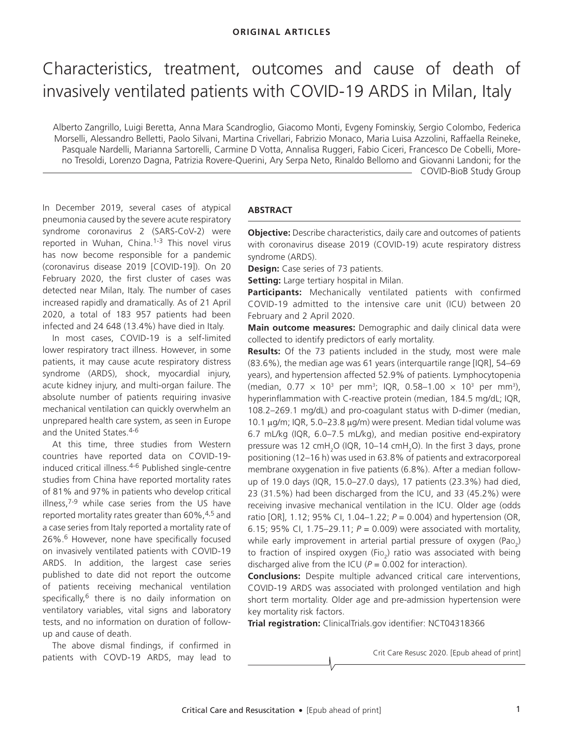# **ORIGINAL ARTICLES**

# Characteristics, treatment, outcomes and cause of death of invasively ventilated patients with COVID-19 ARDS in Milan, Italy

Alberto Zangrillo, Luigi Beretta, Anna Mara Scandroglio, Giacomo Monti, Evgeny Fominskiy, Sergio Colombo, Federica Morselli, Alessandro Belletti, Paolo Silvani, Martina Crivellari, Fabrizio Monaco, Maria Luisa Azzolini, Raffaella Reineke, Pasquale Nardelli, Marianna Sartorelli, Carmine D Votta, Annalisa Ruggeri, Fabio Ciceri, Francesco De Cobelli, Moreno Tresoldi, Lorenzo Dagna, Patrizia Rovere-Querini, Ary Serpa Neto, Rinaldo Bellomo and Giovanni Landoni; for the  $-$  COVID-BioB Study Group

In December 2019, several cases of atypical pneumonia caused by the severe acute respiratory syndrome coronavirus 2 (SARS-CoV-2) were reported in Wuhan, China.<sup>1-3</sup> This novel virus has now become responsible for a pandemic (coronavirus disease 2019 [COVID-19]). On 20 February 2020, the first cluster of cases was detected near Milan, Italy. The number of cases increased rapidly and dramatically. As of 21 April 2020, a total of 183 957 patients had been infected and 24 648 (13.4%) have died in Italy.

In most cases, COVID-19 is a self-limited lower respiratory tract illness. However, in some patients, it may cause acute respiratory distress syndrome (ARDS), shock, myocardial injury, acute kidney injury, and multi-organ failure. The absolute number of patients requiring invasive mechanical ventilation can quickly overwhelm an unprepared health care system, as seen in Europe and the United States.4-6

At this time, three studies from Western countries have reported data on COVID-19 induced critical illness.4-6 Published single-centre studies from China have reported mortality rates of 81% and 97% in patients who develop critical illness, $7-9$  while case series from the US have reported mortality rates greater than  $60\%$ ,  $4.5$  and a case series from Italy reported a mortality rate of 26%.6 However, none have specifically focused on invasively ventilated patients with COVID-19 ARDS. In addition, the largest case series published to date did not report the outcome of patients receiving mechanical ventilation specifically,<sup>6</sup> there is no daily information on ventilatory variables, vital signs and laboratory tests, and no information on duration of followup and cause of death.

The above dismal findings, if confirmed in patients with COVD-19 ARDS, may lead to

#### **ABSTRACT**

**Objective:** Describe characteristics, daily care and outcomes of patients with coronavirus disease 2019 (COVID-19) acute respiratory distress syndrome (ARDS).

**Design:** Case series of 73 patients.

**Setting:** Large tertiary hospital in Milan.

**Participants:** Mechanically ventilated patients with confirmed COVID-19 admitted to the intensive care unit (ICU) between 20 February and 2 April 2020.

**Main outcome measures:** Demographic and daily clinical data were collected to identify predictors of early mortality.

**Results:** Of the 73 patients included in the study, most were male (83.6%), the median age was 61 years (interquartile range [IQR], 54–69 years), and hypertension affected 52.9% of patients. Lymphocytopenia (median,  $0.77 \times 10^3$  per mm<sup>3</sup>; IQR, 0.58–1.00  $\times$  10<sup>3</sup> per mm<sup>3</sup>), hyperinflammation with C-reactive protein (median, 184.5 mg/dL; IQR, 108.2–269.1 mg/dL) and pro-coagulant status with D-dimer (median, 10.1  $\mu$ g/m; IQR, 5.0–23.8  $\mu$ g/m) were present. Median tidal volume was 6.7 mL/kg (IQR, 6.0–7.5 mL/kg), and median positive end-expiratory pressure was 12 cmH<sub>2</sub>O (IQR, 10–14 cmH<sub>2</sub>O). In the first 3 days, prone positioning (12–16 h) was used in 63.8% of patients and extracorporeal membrane oxygenation in five patients (6.8%). After a median followup of 19.0 days (IQR, 15.0–27.0 days), 17 patients (23.3%) had died, 23 (31.5%) had been discharged from the ICU, and 33 (45.2%) were receiving invasive mechanical ventilation in the ICU. Older age (odds ratio [OR], 1.12; 95% CI, 1.04–1.22; *P* = 0.004) and hypertension (OR, 6.15; 95% CI, 1.75–29.11; *P* = 0.009) were associated with mortality, while early improvement in arterial partial pressure of oxygen (Pao<sub>2</sub>) to fraction of inspired oxygen (Fio<sub>2</sub>) ratio was associated with being discharged alive from the ICU ( $P = 0.002$  for interaction).

**Conclusions:** Despite multiple advanced critical care interventions, COVID-19 ARDS was associated with prolonged ventilation and high short term mortality. Older age and pre-admission hypertension were key mortality risk factors.

**Trial registration:** ClinicalTrials.gov identifier: NCT04318366

Crit Care Resusc 2020. [Epub ahead of print]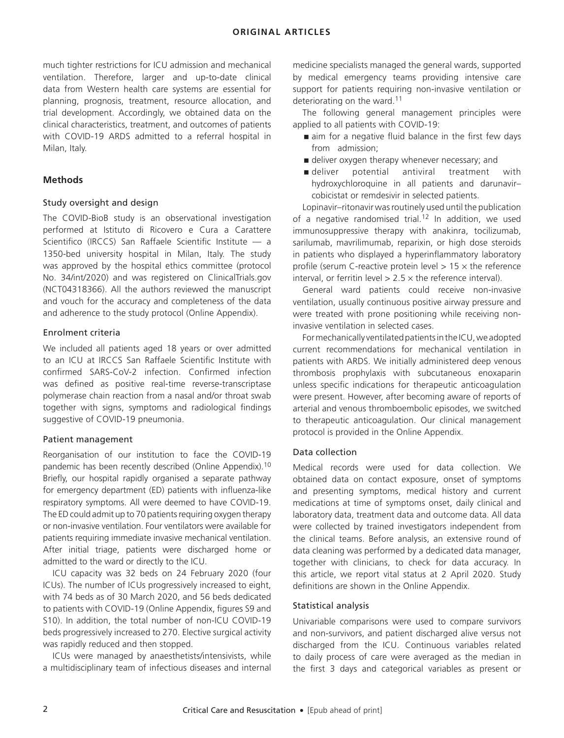much tighter restrictions for ICU admission and mechanical ventilation. Therefore, larger and up-to-date clinical data from Western health care systems are essential for planning, prognosis, treatment, resource allocation, and trial development. Accordingly, we obtained data on the clinical characteristics, treatment, and outcomes of patients with COVID-19 ARDS admitted to a referral hospital in Milan, Italy.

# **Methods**

# Study oversight and design

The COVID-BioB study is an observational investigation performed at Istituto di Ricovero e Cura a Carattere Scientifico (IRCCS) San Raffaele Scientific Institute — a 1350-bed university hospital in Milan, Italy. The study was approved by the hospital ethics committee (protocol No. 34/int/2020) and was registered on ClinicalTrials.gov (NCT04318366). All the authors reviewed the manuscript and vouch for the accuracy and completeness of the data and adherence to the study protocol (Online Appendix).

# Enrolment criteria

We included all patients aged 18 years or over admitted to an ICU at IRCCS San Raffaele Scientific Institute with confirmed SARS-CoV-2 infection. Confirmed infection was defined as positive real-time reverse-transcriptase polymerase chain reaction from a nasal and/or throat swab together with signs, symptoms and radiological findings suggestive of COVID-19 pneumonia.

## Patient management

Reorganisation of our institution to face the COVID-19 pandemic has been recently described (Online Appendix).10 Briefly, our hospital rapidly organised a separate pathway for emergency department (ED) patients with influenza-like respiratory symptoms. All were deemed to have COVID-19. The ED could admit up to 70 patients requiring oxygen therapy or non-invasive ventilation. Four ventilators were available for patients requiring immediate invasive mechanical ventilation. After initial triage, patients were discharged home or admitted to the ward or directly to the ICU.

ICU capacity was 32 beds on 24 February 2020 (four ICUs). The number of ICUs progressively increased to eight, with 74 beds as of 30 March 2020, and 56 beds dedicated to patients with COVID-19 (Online Appendix, figures S9 and S10). In addition, the total number of non-ICU COVID-19 beds progressively increased to 270. Elective surgical activity was rapidly reduced and then stopped.

ICUs were managed by anaesthetists/intensivists, while a multidisciplinary team of infectious diseases and internal

medicine specialists managed the general wards, supported by medical emergency teams providing intensive care support for patients requiring non-invasive ventilation or deteriorating on the ward.<sup>11</sup>

The following general management principles were applied to all patients with COVID-19:

- aim for a negative fluid balance in the first few days from admission;
- deliver oxygen therapy whenever necessary; and
- deliver potential antiviral treatment with hydroxychloroquine in all patients and darunavir– cobicistat or remdesivir in selected patients.

Lopinavir–ritonavir was routinely used until the publication of a negative randomised trial.<sup>12</sup> In addition, we used immunosuppressive therapy with anakinra, tocilizumab, sarilumab, mavrilimumab, reparixin, or high dose steroids in patients who displayed a hyperinflammatory laboratory profile (serum C-reactive protein level  $> 15 \times$  the reference interval, or ferritin level  $> 2.5 \times$  the reference interval).

General ward patients could receive non-invasive ventilation, usually continuous positive airway pressure and were treated with prone positioning while receiving noninvasive ventilation in selected cases.

For mechanically ventilated patients in the ICU, we adopted current recommendations for mechanical ventilation in patients with ARDS. We initially administered deep venous thrombosis prophylaxis with subcutaneous enoxaparin unless specific indications for therapeutic anticoagulation were present. However, after becoming aware of reports of arterial and venous thromboembolic episodes, we switched to therapeutic anticoagulation. Our clinical management protocol is provided in the Online Appendix.

# Data collection

Medical records were used for data collection. We obtained data on contact exposure, onset of symptoms and presenting symptoms, medical history and current medications at time of symptoms onset, daily clinical and laboratory data, treatment data and outcome data. All data were collected by trained investigators independent from the clinical teams. Before analysis, an extensive round of data cleaning was performed by a dedicated data manager, together with clinicians, to check for data accuracy. In this article, we report vital status at 2 April 2020. Study definitions are shown in the Online Appendix.

# Statistical analysis

Univariable comparisons were used to compare survivors and non-survivors, and patient discharged alive versus not discharged from the ICU. Continuous variables related to daily process of care were averaged as the median in the first 3 days and categorical variables as present or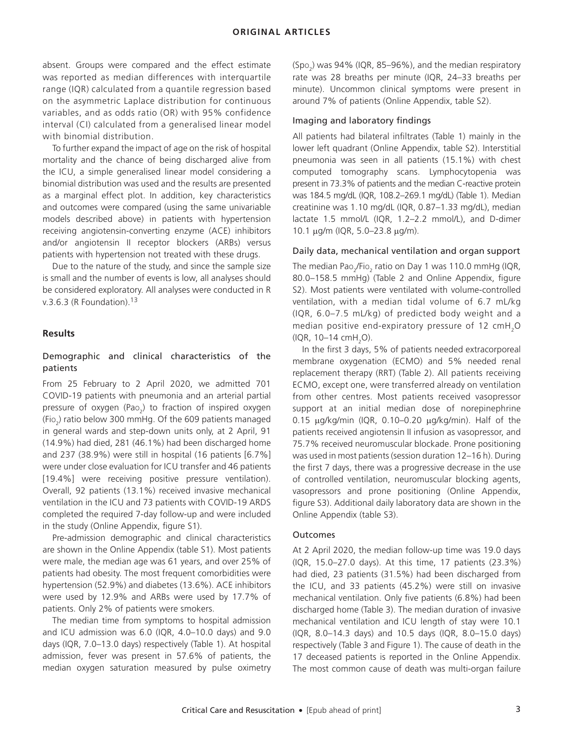absent. Groups were compared and the effect estimate was reported as median differences with interquartile range (IQR) calculated from a quantile regression based on the asymmetric Laplace distribution for continuous variables, and as odds ratio (OR) with 95% confidence interval (CI) calculated from a generalised linear model with binomial distribution.

To further expand the impact of age on the risk of hospital mortality and the chance of being discharged alive from the ICU, a simple generalised linear model considering a binomial distribution was used and the results are presented as a marginal effect plot. In addition, key characteristics and outcomes were compared (using the same univariable models described above) in patients with hypertension receiving angiotensin-converting enzyme (ACE) inhibitors and/or angiotensin II receptor blockers (ARBs) versus patients with hypertension not treated with these drugs.

Due to the nature of the study, and since the sample size is small and the number of events is low, all analyses should be considered exploratory. All analyses were conducted in R v.3.6.3 (R Foundation).<sup>13</sup>

## **Results**

# Demographic and clinical characteristics of the patients

From 25 February to 2 April 2020, we admitted 701 COVID-19 patients with pneumonia and an arterial partial pressure of oxygen (Pao<sub>2</sub>) to fraction of inspired oxygen (Fio<sub>2</sub>) ratio below 300 mmHg. Of the 609 patients managed in general wards and step-down units only, at 2 April, 91 (14.9%) had died, 281 (46.1%) had been discharged home and 237 (38.9%) were still in hospital (16 patients [6.7%] were under close evaluation for ICU transfer and 46 patients [19.4%] were receiving positive pressure ventilation). Overall, 92 patients (13.1%) received invasive mechanical ventilation in the ICU and 73 patients with COVID-19 ARDS completed the required 7-day follow-up and were included in the study (Online Appendix, figure S1).

Pre-admission demographic and clinical characteristics are shown in the Online Appendix (table S1). Most patients were male, the median age was 61 years, and over 25% of patients had obesity. The most frequent comorbidities were hypertension (52.9%) and diabetes (13.6%). ACE inhibitors were used by 12.9% and ARBs were used by 17.7% of patients. Only 2% of patients were smokers.

The median time from symptoms to hospital admission and ICU admission was 6.0 (IQR, 4.0–10.0 days) and 9.0 days (IQR, 7.0–13.0 days) respectively (Table 1). At hospital admission, fever was present in 57.6% of patients, the median oxygen saturation measured by pulse oximetry  $(Spo_2)$  was 94% (IQR, 85–96%), and the median respiratory rate was 28 breaths per minute (IQR, 24–33 breaths per minute). Uncommon clinical symptoms were present in around 7% of patients (Online Appendix, table S2).

## Imaging and laboratory findings

All patients had bilateral infiltrates (Table 1) mainly in the lower left quadrant (Online Appendix, table S2). Interstitial pneumonia was seen in all patients (15.1%) with chest computed tomography scans. Lymphocytopenia was present in 73.3% of patients and the median C-reactive protein was 184.5 mg/dL (IQR, 108.2–269.1 mg/dL) (Table 1). Median creatinine was 1.10 mg/dL (IQR, 0.87–1.33 mg/dL), median lactate 1.5 mmol/L (IQR, 1.2–2.2 mmol/L), and D-dimer 10.1  $\mu$ g/m (IQR, 5.0–23.8  $\mu$ g/m).

## Daily data, mechanical ventilation and organ support

The median Pao $_2$ /Fio $_2$  ratio on Day 1 was 110.0 mmHg (IQR, 80.0–158.5 mmHg) (Table 2 and Online Appendix, figure S2). Most patients were ventilated with volume-controlled ventilation, with a median tidal volume of 6.7 mL/kg (IQR, 6.0–7.5 mL/kg) of predicted body weight and a median positive end-expiratory pressure of 12 cmH<sub>2</sub>O (IQR, 10–14 cmH<sub>2</sub>O).

In the first 3 days, 5% of patients needed extracorporeal membrane oxygenation (ECMO) and 5% needed renal replacement therapy (RRT) (Table 2). All patients receiving ECMO, except one, were transferred already on ventilation from other centres. Most patients received vasopressor support at an initial median dose of norepinephrine 0.15  $\mu$ g/kg/min (IQR, 0.10–0.20  $\mu$ g/kg/min). Half of the patients received angiotensin II infusion as vasopressor, and 75.7% received neuromuscular blockade. Prone positioning was used in most patients (session duration 12–16 h). During the first 7 days, there was a progressive decrease in the use of controlled ventilation, neuromuscular blocking agents, vasopressors and prone positioning (Online Appendix, figure S3). Additional daily laboratory data are shown in the Online Appendix (table S3).

#### Outcomes

At 2 April 2020, the median follow-up time was 19.0 days (IQR, 15.0–27.0 days). At this time, 17 patients (23.3%) had died, 23 patients (31.5%) had been discharged from the ICU, and 33 patients (45.2%) were still on invasive mechanical ventilation. Only five patients (6.8%) had been discharged home (Table 3). The median duration of invasive mechanical ventilation and ICU length of stay were 10.1 (IQR, 8.0–14.3 days) and 10.5 days (IQR, 8.0–15.0 days) respectively (Table 3 and Figure 1). The cause of death in the 17 deceased patients is reported in the Online Appendix. The most common cause of death was multi-organ failure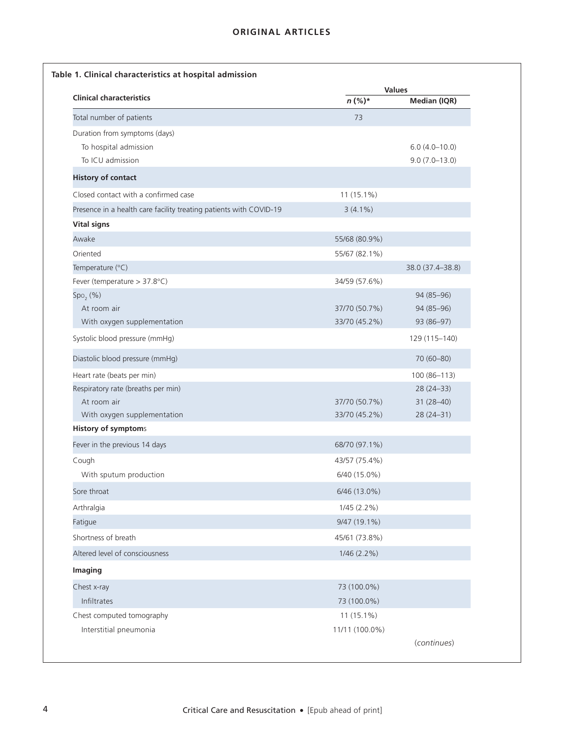# **ORIGINAL ARTICLES**

| <b>Clinical characteristics</b>                                    |                | <b>Values</b>     |  |
|--------------------------------------------------------------------|----------------|-------------------|--|
|                                                                    | $n$ (%)*       | Median (IQR)      |  |
| Total number of patients                                           | 73             |                   |  |
| Duration from symptoms (days)                                      |                |                   |  |
| To hospital admission                                              |                | $6.0(4.0-10.0)$   |  |
| To ICU admission                                                   |                | $9.0(7.0 - 13.0)$ |  |
| <b>History of contact</b>                                          |                |                   |  |
| Closed contact with a confirmed case                               | 11 (15.1%)     |                   |  |
| Presence in a health care facility treating patients with COVID-19 | $3(4.1\%)$     |                   |  |
| <b>Vital signs</b>                                                 |                |                   |  |
| Awake                                                              | 55/68 (80.9%)  |                   |  |
| Oriented                                                           | 55/67 (82.1%)  |                   |  |
| Temperature (°C)                                                   |                | 38.0 (37.4-38.8)  |  |
| Fever (temperature $> 37.8$ °C)                                    | 34/59 (57.6%)  |                   |  |
| Spo(%)                                                             |                | 94 (85-96)        |  |
| At room air                                                        | 37/70 (50.7%)  | 94 (85-96)        |  |
| With oxygen supplementation                                        | 33/70 (45.2%)  | 93 (86-97)        |  |
| Systolic blood pressure (mmHg)                                     |                | 129 (115-140)     |  |
| Diastolic blood pressure (mmHg)                                    |                | 70 (60-80)        |  |
| Heart rate (beats per min)                                         |                | $100(86 - 113)$   |  |
| Respiratory rate (breaths per min)                                 |                | $28(24-33)$       |  |
| At room air                                                        | 37/70 (50.7%)  | $31(28-40)$       |  |
| With oxygen supplementation                                        | 33/70 (45.2%)  | $28(24-31)$       |  |
| <b>History of symptoms</b>                                         |                |                   |  |
| Fever in the previous 14 days                                      | 68/70 (97.1%)  |                   |  |
| Cough                                                              | 43/57 (75.4%)  |                   |  |
| With sputum production                                             | 6/40 (15.0%)   |                   |  |
| Sore throat                                                        | 6/46 (13.0%)   |                   |  |
| Arthralgia                                                         | $1/45(2.2\%)$  |                   |  |
| Fatigue                                                            | 9/47 (19.1%)   |                   |  |
| Shortness of breath                                                | 45/61 (73.8%)  |                   |  |
| Altered level of consciousness                                     | $1/46$ (2.2%)  |                   |  |
| Imaging                                                            |                |                   |  |
| Chest x-ray                                                        | 73 (100.0%)    |                   |  |
| Infiltrates                                                        | 73 (100.0%)    |                   |  |
| Chest computed tomography                                          | $11(15.1\%)$   |                   |  |
| Interstitial pneumonia                                             | 11/11 (100.0%) |                   |  |
|                                                                    |                | (continues)       |  |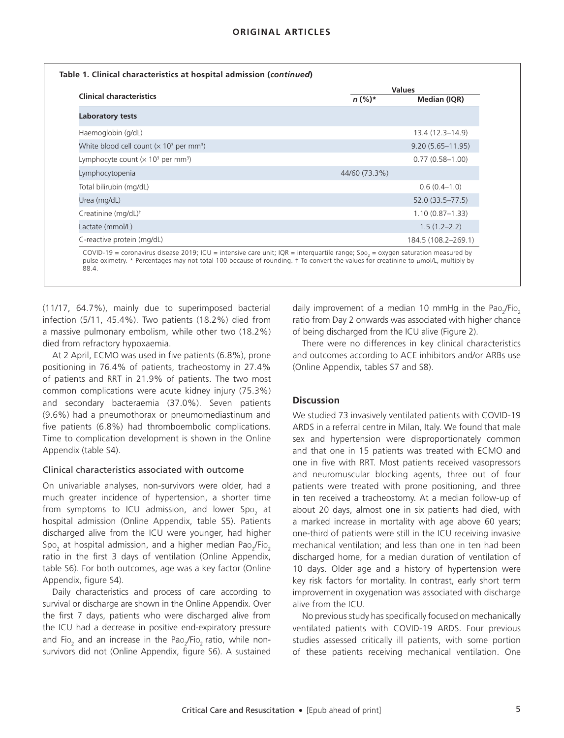|                                                                   |               | <b>Values</b>        |
|-------------------------------------------------------------------|---------------|----------------------|
| <b>Clinical characteristics</b>                                   | $n$ (%)*      | Median (IQR)         |
| Laboratory tests                                                  |               |                      |
| Haemoglobin (g/dL)                                                |               | $13.4(12.3 - 14.9)$  |
| White blood cell count $(x 10^3$ per mm <sup>3</sup> )            |               | $9.20(5.65 - 11.95)$ |
| Lymphocyte count ( $\times$ 10 <sup>3</sup> per mm <sup>3</sup> ) |               | $0.77(0.58 - 1.00)$  |
| Lymphocytopenia                                                   | 44/60 (73.3%) |                      |
| Total bilirubin (mg/dL)                                           |               | $0.6(0.4-1.0)$       |
| Urea (mg/dL)                                                      |               | $52.0(33.5 - 77.5)$  |
| Creatinine (mg/dL) <sup>+</sup>                                   |               | $1.10(0.87 - 1.33)$  |
| Lactate (mmol/L)                                                  |               | $1.5(1.2 - 2.2)$     |
| C-reactive protein (mg/dL)                                        |               | 184.5 (108.2-269.1)  |

(11/17, 64.7%), mainly due to superimposed bacterial infection (5/11, 45.4%). Two patients (18.2%) died from a massive pulmonary embolism, while other two (18.2%) died from refractory hypoxaemia.

At 2 April, ECMO was used in five patients (6.8%), prone positioning in 76.4% of patients, tracheostomy in 27.4% of patients and RRT in 21.9% of patients. The two most common complications were acute kidney injury (75.3%) and secondary bacteraemia (37.0%). Seven patients (9.6%) had a pneumothorax or pneumomediastinum and five patients (6.8%) had thromboembolic complications. Time to complication development is shown in the Online Appendix (table S4).

## Clinical characteristics associated with outcome

On univariable analyses, non-survivors were older, had a much greater incidence of hypertension, a shorter time from symptoms to ICU admission, and lower Spo<sub>2</sub> at hospital admission (Online Appendix, table S5). Patients discharged alive from the ICU were younger, had higher Spo $_2$  at hospital admission, and a higher median Pao $_2^{}$ /Fio $_2^{}$ ratio in the first 3 days of ventilation (Online Appendix, table S6). For both outcomes, age was a key factor (Online Appendix, figure S4).

Daily characteristics and process of care according to survival or discharge are shown in the Online Appendix. Over the first 7 days, patients who were discharged alive from the ICU had a decrease in positive end-expiratory pressure and Fio<sub>2</sub> and an increase in the Pao<sub>2</sub>/Fio<sub>2</sub> ratio, while nonsurvivors did not (Online Appendix, figure S6). A sustained

daily improvement of a median 10 mmHg in the Pao<sub>2</sub>/Fio<sub>2</sub> ratio from Day 2 onwards was associated with higher chance of being discharged from the ICU alive (Figure 2).

There were no differences in key clinical characteristics and outcomes according to ACE inhibitors and/or ARBs use (Online Appendix, tables S7 and S8).

# **Discussion**

We studied 73 invasively ventilated patients with COVID-19 ARDS in a referral centre in Milan, Italy. We found that male sex and hypertension were disproportionately common and that one in 15 patients was treated with ECMO and one in five with RRT. Most patients received vasopressors and neuromuscular blocking agents, three out of four patients were treated with prone positioning, and three in ten received a tracheostomy. At a median follow-up of about 20 days, almost one in six patients had died, with a marked increase in mortality with age above 60 years; one-third of patients were still in the ICU receiving invasive mechanical ventilation; and less than one in ten had been discharged home, for a median duration of ventilation of 10 days. Older age and a history of hypertension were key risk factors for mortality. In contrast, early short term improvement in oxygenation was associated with discharge alive from the ICU.

No previous study has specifically focused on mechanically ventilated patients with COVID-19 ARDS. Four previous studies assessed critically ill patients, with some portion of these patients receiving mechanical ventilation. One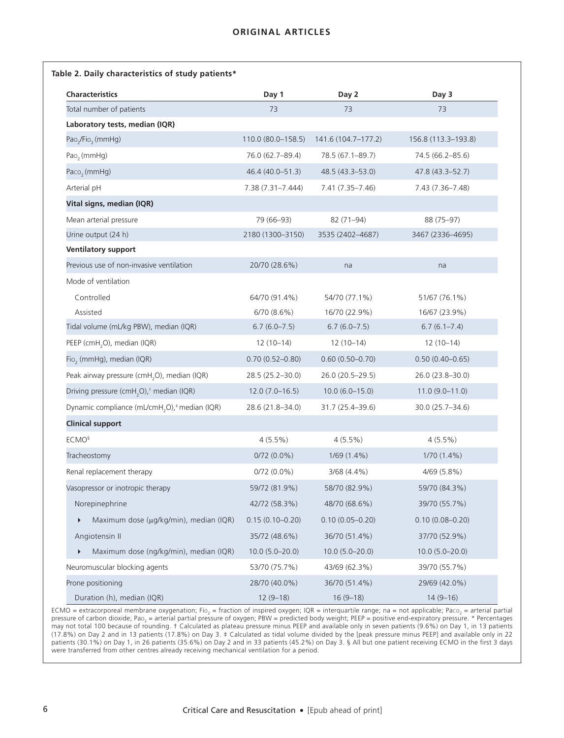| <b>Characteristics</b>                                                | Day 1               | Day 2               | Day 3               |  |
|-----------------------------------------------------------------------|---------------------|---------------------|---------------------|--|
| Total number of patients                                              | 73                  | 73                  | 73                  |  |
| Laboratory tests, median (IQR)                                        |                     |                     |                     |  |
| Pao <sub>2</sub> /Fio <sub>2</sub> (mmHg)                             | 110.0 (80.0-158.5)  | 141.6 (104.7-177.2) | 156.8 (113.3-193.8) |  |
| Pao <sub>2</sub> (mmHg)                                               | 76.0 (62.7-89.4)    | 78.5 (67.1-89.7)    | 74.5 (66.2-85.6)    |  |
| Paco <sub>2</sub> (mmHg)                                              | 46.4 (40.0-51.3)    | 48.5 (43.3–53.0)    | 47.8 (43.3-52.7)    |  |
| Arterial pH                                                           | 7.38 (7.31–7.444)   | 7.41 (7.35-7.46)    | 7.43 (7.36-7.48)    |  |
| Vital signs, median (IQR)                                             |                     |                     |                     |  |
| Mean arterial pressure                                                | 79 (66-93)          | 82 (71-94)          | 88 (75-97)          |  |
| Urine output (24 h)                                                   | 2180 (1300-3150)    | 3535 (2402-4687)    | 3467 (2336-4695)    |  |
| <b>Ventilatory support</b>                                            |                     |                     |                     |  |
| Previous use of non-invasive ventilation                              | 20/70 (28.6%)       | na                  | na                  |  |
| Mode of ventilation                                                   |                     |                     |                     |  |
| Controlled                                                            | 64/70 (91.4%)       | 54/70 (77.1%)       | 51/67 (76.1%)       |  |
| Assisted                                                              | 6/70 (8.6%)         | 16/70 (22.9%)       | 16/67 (23.9%)       |  |
| Tidal volume (mL/kg PBW), median (IQR)                                | $6.7(6.0 - 7.5)$    | $6.7(6.0 - 7.5)$    | $6.7(6.1 - 7.4)$    |  |
| PEEP (cmH <sub>2</sub> O), median (IQR)                               | $12(10-14)$         | $12(10-14)$         | $12(10-14)$         |  |
| Fio <sub>2</sub> (mmHg), median (IQR)                                 | $0.70(0.52 - 0.80)$ | $0.60(0.50 - 0.70)$ | $0.50(0.40 - 0.65)$ |  |
| Peak airway pressure (cmH <sub>2</sub> O), median (IQR)               | 28.5 (25.2-30.0)    | 26.0 (20.5-29.5)    | 26.0 (23.8-30.0)    |  |
| Driving pressure (cmH <sub>2</sub> O), <sup>+</sup> median (IQR)      | $12.0(7.0-16.5)$    | $10.0 (6.0 - 15.0)$ | $11.0(9.0 - 11.0)$  |  |
| Dynamic compliance (mL/cmH <sub>2</sub> O), <sup>#</sup> median (IQR) | 28.6 (21.8-34.0)    | 31.7 (25.4-39.6)    | 30.0 (25.7-34.6)    |  |
| <b>Clinical support</b>                                               |                     |                     |                     |  |
| ECMO <sup>§</sup>                                                     | $4(5.5\%)$          | $4(5.5\%)$          | $4(5.5\%)$          |  |
| Tracheostomy                                                          | $0/72(0.0\%)$       | 1/69 (1.4%)         | 1/70 (1.4%)         |  |
| Renal replacement therapy                                             | $0/72(0.0\%)$       | $3/68$ $(4.4\%)$    | 4/69 (5.8%)         |  |
| Vasopressor or inotropic therapy                                      | 59/72 (81.9%)       | 58/70 (82.9%)       | 59/70 (84.3%)       |  |
| Norepinephrine                                                        | 42/72 (58.3%)       | 48/70 (68.6%)       | 39/70 (55.7%)       |  |
| Maximum dose (µg/kg/min), median (IQR)                                | $0.15(0.10 - 0.20)$ | $0.10(0.05 - 0.20)$ | $0.10(0.08 - 0.20)$ |  |
| Angiotensin II                                                        | 35/72 (48.6%)       | 36/70 (51.4%)       | 37/70 (52.9%)       |  |
| Maximum dose (ng/kg/min), median (IQR)                                | $10.0 (5.0 - 20.0)$ | $10.0 (5.0 - 20.0)$ | $10.0 (5.0 - 20.0)$ |  |
| Neuromuscular blocking agents                                         | 53/70 (75.7%)       | 43/69 (62.3%)       | 39/70 (55.7%)       |  |
| Prone positioning                                                     | 28/70 (40.0%)       | 36/70 (51.4%)       | 29/69 (42.0%)       |  |
| Duration (h), median (IQR)                                            | $12(9-18)$          | $16(9-18)$          | $14(9-16)$          |  |

ECMO = extracorporeal membrane oxygenation; Fio<sub>2</sub> = fraction of inspired oxygen; IQR = interquartile range; na = not applicable; Paco<sub>2</sub> = arterial partial pressure of carbon dioxide; Pao<sub>2</sub> = arterial partial pressure of oxygen; PBW = predicted body weight; PEEP = positive end-expiratory pressure. \* Percentages<br>may not total 100 because of rounding. † Calculated as plateau p (17.8%) on Day 2 and in 13 patients (17.8%) on Day 3. ‡ Calculated as tidal volume divided by the [peak pressure minus PEEP] and available only in 22 patients (30.1%) on Day 1, in 26 patients (35.6%) on Day 2 and in 33 patients (45.2%) on Day 3. § All but one patient receiving ECMO in the first 3 days were transferred from other centres already receiving mechanical ventilation for a period.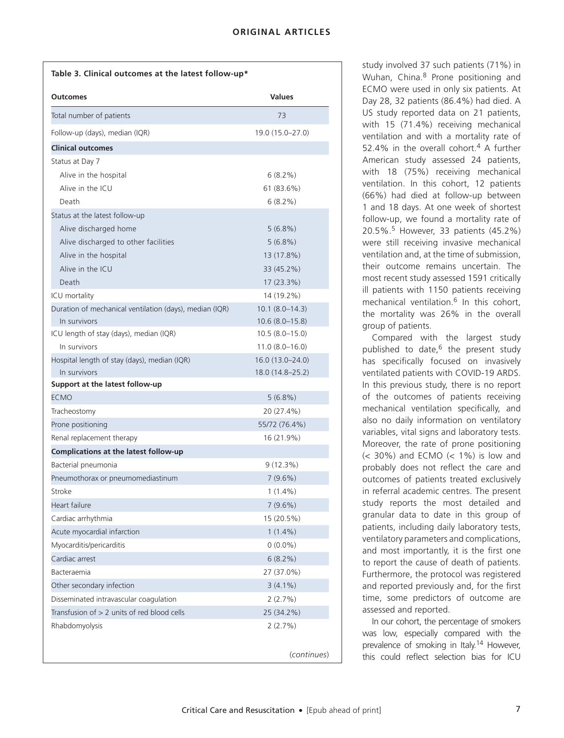| Outcomes                                                | <b>Values</b>       |
|---------------------------------------------------------|---------------------|
| Total number of patients                                | 73                  |
| Follow-up (days), median (IQR)                          | 19.0 (15.0-27.0)    |
| <b>Clinical outcomes</b>                                |                     |
| Status at Day 7                                         |                     |
| Alive in the hospital                                   | $6(8.2\%)$          |
| Alive in the ICU                                        | 61 (83.6%)          |
| Death                                                   | $6(8.2\%)$          |
| Status at the latest follow-up                          |                     |
| Alive discharged home                                   | $5(6.8\%)$          |
| Alive discharged to other facilities                    | $5(6.8\%)$          |
| Alive in the hospital                                   | 13 (17.8%)          |
| Alive in the ICU                                        | 33 (45.2%)          |
| Death                                                   | 17 (23.3%)          |
| ICU mortality                                           | 14 (19.2%)          |
| Duration of mechanical ventilation (days), median (IQR) | $10.1 (8.0 - 14.3)$ |
| In survivors                                            | $10.6(8.0-15.8)$    |
| ICU length of stay (days), median (IQR)                 | $10.5(8.0-15.0)$    |
| In survivors                                            | $11.0 (8.0 - 16.0)$ |
| Hospital length of stay (days), median (IQR)            | 16.0 (13.0-24.0)    |
| In survivors                                            | 18.0 (14.8-25.2)    |
| Support at the latest follow-up                         |                     |
| <b>ECMO</b>                                             | 5(6.8%)             |
| Tracheostomy                                            | 20 (27.4%)          |
| Prone positioning                                       | 55/72 (76.4%)       |
| Renal replacement therapy                               | 16 (21.9%)          |
| Complications at the latest follow-up                   |                     |
| Bacterial pneumonia                                     | 9(12.3%)            |
| Pneumothorax or pneumomediastinum                       | 7(9.6%)             |
| Stroke                                                  | $1(1.4\%)$          |
| Heart failure                                           | $7(9.6\%)$          |
| Cardiac arrhythmia                                      | 15 (20.5%)          |
| Acute myocardial infarction                             | $1(1.4\%)$          |
| Myocarditis/pericarditis                                | $0(0.0\%)$          |
| Cardiac arrest                                          | $6(8.2\%)$          |
| Bacteraemia                                             | 27 (37.0%)          |
| Other secondary infection                               | $3(4.1\%)$          |
| Disseminated intravascular coagulation                  | 2(2.7%)             |
| Transfusion of $> 2$ units of red blood cells           | 25 (34.2%)          |
|                                                         | 2(2.7%)             |

study involved 37 such patients (71%) in Wuhan, China.<sup>8</sup> Prone positioning and ECMO were used in only six patients. At Day 28, 32 patients (86.4%) had died. A US study reported data on 21 patients, with 15 (71.4%) receiving mechanical ventilation and with a mortality rate of 52.4% in the overall cohort.<sup>4</sup> A further American study assessed 24 patients, with 18 (75%) receiving mechanical ventilation. In this cohort, 12 patients (66%) had died at follow-up between 1 and 18 days. At one week of shortest follow-up, we found a mortality rate of 20.5%.5 However, 33 patients (45.2%) were still receiving invasive mechanical ventilation and, at the time of submission, their outcome remains uncertain. The most recent study assessed 1591 critically ill patients with 1150 patients receiving mechanical ventilation.6 In this cohort, the mortality was 26% in the overall group of patients.

Compared with the largest study published to date,<sup>6</sup> the present study has specifically focused on invasively ventilated patients with COVID-19 ARDS. In this previous study, there is no report of the outcomes of patients receiving mechanical ventilation specifically, and also no daily information on ventilatory variables, vital signs and laboratory tests. Moreover, the rate of prone positioning  $( $30\%$ ) and ECMO ( $1\%$ ) is low and$ probably does not reflect the care and outcomes of patients treated exclusively in referral academic centres. The present study reports the most detailed and granular data to date in this group of patients, including daily laboratory tests, ventilatory parameters and complications, and most importantly, it is the first one to report the cause of death of patients. Furthermore, the protocol was registered and reported previously and, for the first time, some predictors of outcome are assessed and reported.

In our cohort, the percentage of smokers was low, especially compared with the prevalence of smoking in Italy.<sup>14</sup> However, this could reflect selection bias for ICU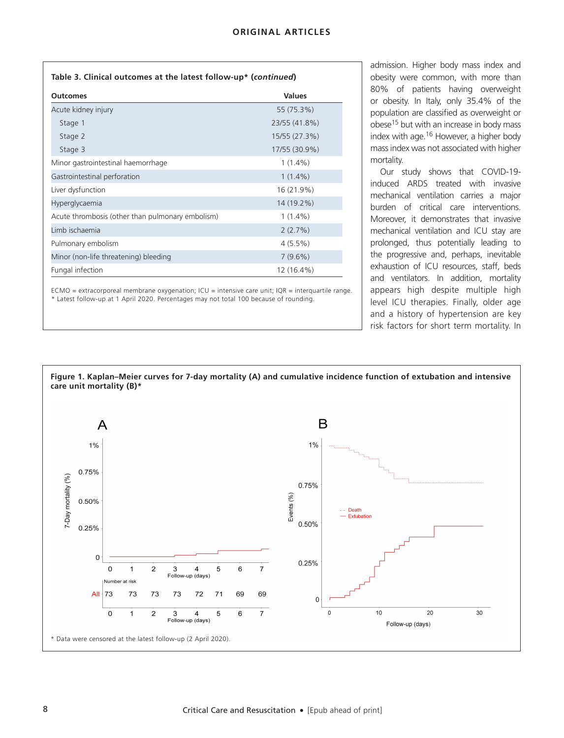|  |  |  |  |  |  | Table 3. Clinical outcomes at the latest follow-up* (continued) |
|--|--|--|--|--|--|-----------------------------------------------------------------|
|--|--|--|--|--|--|-----------------------------------------------------------------|

| <b>Outcomes</b>                                  | <b>Values</b> |
|--------------------------------------------------|---------------|
| Acute kidney injury                              | 55 (75.3%)    |
| Stage 1                                          | 23/55 (41.8%) |
| Stage 2                                          | 15/55 (27.3%) |
| Stage 3                                          | 17/55 (30.9%) |
| Minor gastrointestinal haemorrhage               | $1(1.4\%)$    |
| Gastrointestinal perforation                     | $1(1.4\%)$    |
| Liver dysfunction                                | 16 (21.9%)    |
| Hyperglycaemia                                   | 14 (19.2%)    |
| Acute thrombosis (other than pulmonary embolism) | $1(1.4\%)$    |
| Limb ischaemia                                   | 2(2.7%)       |
| Pulmonary embolism                               | $4(5.5\%)$    |
| Minor (non-life threatening) bleeding            | $7(9.6\%)$    |
| Fungal infection                                 | 12 (16.4%)    |

ECMO = extracorporeal membrane oxygenation;  $ICU =$  intensive care unit;  $IOR =$  interguartile range. \* Latest follow-up at 1 April 2020. Percentages may not total 100 because of rounding.

admission. Higher body mass index and obesity were common, with more than 80% of patients having overweight or obesity. In Italy, only 35.4% of the population are classified as overweight or obese15 but with an increase in body mass index with age.16 However, a higher body mass index was not associated with higher mortality.

Our study shows that COVID-19 induced ARDS treated with invasive mechanical ventilation carries a major burden of critical care interventions. Moreover, it demonstrates that invasive mechanical ventilation and ICU stay are prolonged, thus potentially leading to the progressive and, perhaps, inevitable exhaustion of ICU resources, staff, beds and ventilators. In addition, mortality appears high despite multiple high level ICU therapies. Finally, older age and a history of hypertension are key risk factors for short term mortality. In



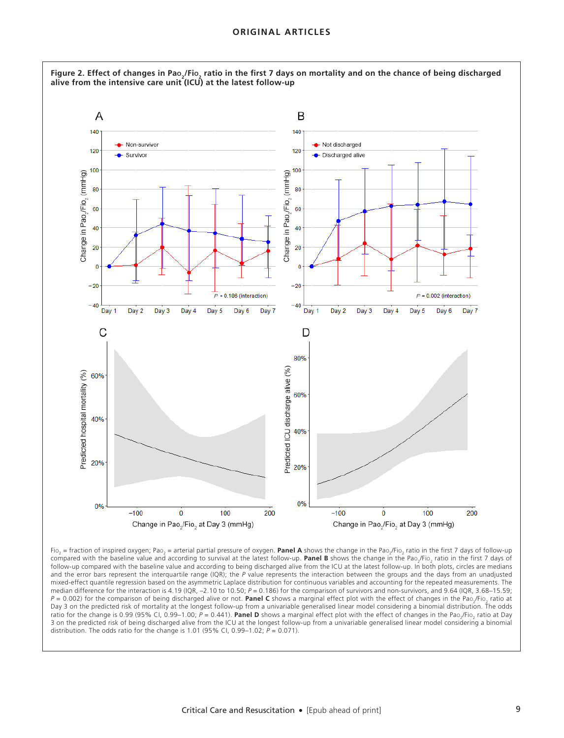

Fio<sub>2</sub> = fraction of inspired oxygen; Pao<sub>2</sub> = arterial partial pressure of oxygen. Panel A shows the change in the Pao<sub>2</sub>/Fio<sub>2</sub> ratio in the first 7 days of follow-up compared with the baseline value and according to survival at the latest follow-up. Panel B shows the change in the Pao<sub>2</sub>/Fio, ratio in the first 7 days of follow-up compared with the baseline value and according to being discharged alive from the ICU at the latest follow-up. In both plots, circles are medians and the error bars represent the interquartile range (IQR); the *P* value represents the interaction between the groups and the days from an unadjusted mixed-effect quantile regression based on the asymmetric Laplace distribution for continuous variables and accounting for the repeated measurements. The median difference for the interaction is 4.19 (IQR, -2.10 to 10.50;  $P = 0.186$ ) for the comparison of survivors and non-survivors, and 9.64 (IQR, 3.68-15.59; *P* = 0.002) for the comparison of being discharged alive or not. **Panel C** shows a marginal effect plot with the effect of changes in the Pao<sub>2</sub>/Fio. ratio at Day 3 on the predicted risk of mortality at the longest follow-up from a univariable generalised linear model considering a binomial distribution. The odds ratio for the change is 0.99 (95% CI, 0.99–1.00;  $\bar{P} = 0.441$ ). **Panel D** shows a marginal effect plot with the effect of changes in the Pao<sub>2</sub>/Fio, ratio at Day 3 on the predicted risk of being discharged alive from the ICU at the longest follow-up from a univariable generalised linear model considering a binomial distribution. The odds ratio for the change is 1.01 (95% CI, 0.99–1.02;  $P = 0.071$ ).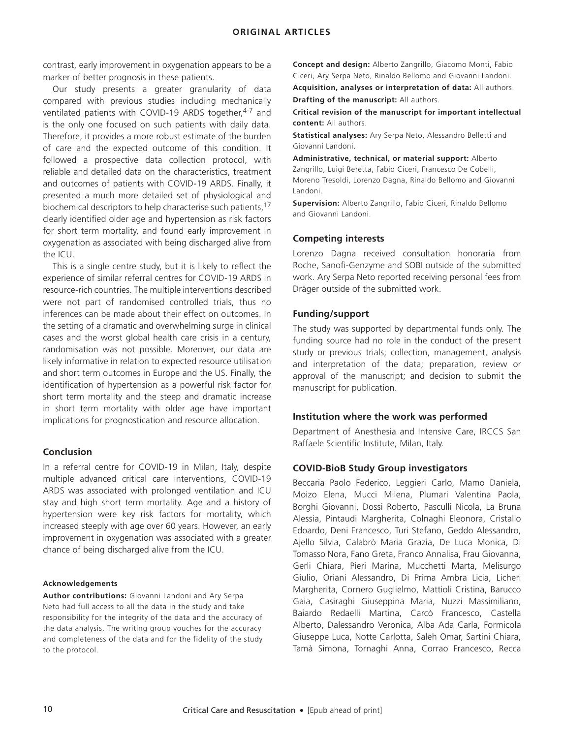contrast, early improvement in oxygenation appears to be a marker of better prognosis in these patients.

Our study presents a greater granularity of data compared with previous studies including mechanically ventilated patients with COVID-19 ARDS together,<sup>4-7</sup> and is the only one focused on such patients with daily data. Therefore, it provides a more robust estimate of the burden of care and the expected outcome of this condition. It followed a prospective data collection protocol, with reliable and detailed data on the characteristics, treatment and outcomes of patients with COVID-19 ARDS. Finally, it presented a much more detailed set of physiological and biochemical descriptors to help characterise such patients,<sup>17</sup> clearly identified older age and hypertension as risk factors for short term mortality, and found early improvement in oxygenation as associated with being discharged alive from the ICU.

This is a single centre study, but it is likely to reflect the experience of similar referral centres for COVID-19 ARDS in resource-rich countries. The multiple interventions described were not part of randomised controlled trials, thus no inferences can be made about their effect on outcomes. In the setting of a dramatic and overwhelming surge in clinical cases and the worst global health care crisis in a century, randomisation was not possible. Moreover, our data are likely informative in relation to expected resource utilisation and short term outcomes in Europe and the US. Finally, the identification of hypertension as a powerful risk factor for short term mortality and the steep and dramatic increase in short term mortality with older age have important implications for prognostication and resource allocation.

## **Conclusion**

In a referral centre for COVID-19 in Milan, Italy, despite multiple advanced critical care interventions, COVID-19 ARDS was associated with prolonged ventilation and ICU stay and high short term mortality. Age and a history of hypertension were key risk factors for mortality, which increased steeply with age over 60 years. However, an early improvement in oxygenation was associated with a greater chance of being discharged alive from the ICU.

#### **Acknowledgements**

**Author contributions:** Giovanni Landoni and Ary Serpa Neto had full access to all the data in the study and take responsibility for the integrity of the data and the accuracy of the data analysis. The writing group vouches for the accuracy and completeness of the data and for the fidelity of the study to the protocol.

**Concept and design:** Alberto Zangrillo, Giacomo Monti, Fabio Ciceri, Ary Serpa Neto, Rinaldo Bellomo and Giovanni Landoni.

**Acquisition, analyses or interpretation of data:** All authors. **Drafting of the manuscript:** All authors.

**Critical revision of the manuscript for important intellectual content:** All authors.

**Statistical analyses:** Ary Serpa Neto, Alessandro Belletti and Giovanni Landoni.

**Administrative, technical, or material support:** Alberto Zangrillo, Luigi Beretta, Fabio Ciceri, Francesco De Cobelli, Moreno Tresoldi, Lorenzo Dagna, Rinaldo Bellomo and Giovanni Landoni.

**Supervision:** Alberto Zangrillo, Fabio Ciceri, Rinaldo Bellomo and Giovanni Landoni.

## **Competing interests**

Lorenzo Dagna received consultation honoraria from Roche, Sanofi-Genzyme and SOBI outside of the submitted work. Ary Serpa Neto reported receiving personal fees from Dräger outside of the submitted work.

# **Funding/support**

The study was supported by departmental funds only. The funding source had no role in the conduct of the present study or previous trials; collection, management, analysis and interpretation of the data; preparation, review or approval of the manuscript; and decision to submit the manuscript for publication.

## **Institution where the work was performed**

Department of Anesthesia and Intensive Care, IRCCS San Raffaele Scientific Institute, Milan, Italy.

## **COVID-BioB Study Group investigators**

Beccaria Paolo Federico, Leggieri Carlo, Mamo Daniela, Moizo Elena, Mucci Milena, Plumari Valentina Paola, Borghi Giovanni, Dossi Roberto, Pasculli Nicola, La Bruna Alessia, Pintaudi Margherita, Colnaghi Eleonora, Cristallo Edoardo, Deni Francesco, Turi Stefano, Geddo Alessandro, Ajello Silvia, Calabrò Maria Grazia, De Luca Monica, Di Tomasso Nora, Fano Greta, Franco Annalisa, Frau Giovanna, Gerli Chiara, Pieri Marina, Mucchetti Marta, Melisurgo Giulio, Oriani Alessandro, Di Prima Ambra Licia, Licheri Margherita, Cornero Guglielmo, Mattioli Cristina, Barucco Gaia, Casiraghi Giuseppina Maria, Nuzzi Massimiliano, Baiardo Redaelli Martina, Carcò Francesco, Castella Alberto, Dalessandro Veronica, Alba Ada Carla, Formicola Giuseppe Luca, Notte Carlotta, Saleh Omar, Sartini Chiara, Tamà Simona, Tornaghi Anna, Corrao Francesco, Recca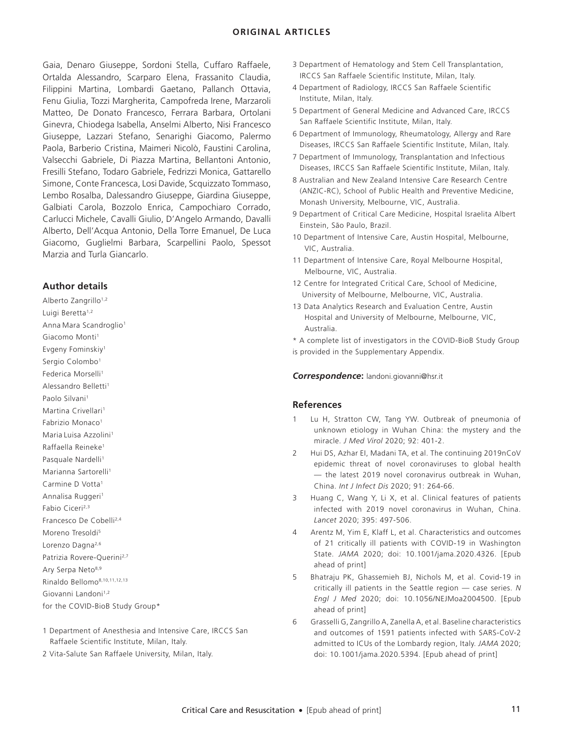Gaia, Denaro Giuseppe, Sordoni Stella, Cuffaro Raffaele, Ortalda Alessandro, Scarparo Elena, Frassanito Claudia, Filippini Martina, Lombardi Gaetano, Pallanch Ottavia, Fenu Giulia, Tozzi Margherita, Campofreda Irene, Marzaroli Matteo, De Donato Francesco, Ferrara Barbara, Ortolani Ginevra, Chiodega Isabella, Anselmi Alberto, Nisi Francesco Giuseppe, Lazzari Stefano, Senarighi Giacomo, Palermo Paola, Barberio Cristina, Maimeri Nicolò, Faustini Carolina, Valsecchi Gabriele, Di Piazza Martina, Bellantoni Antonio, Fresilli Stefano, Todaro Gabriele, Fedrizzi Monica, Gattarello Simone, Conte Francesca, Losi Davide, Scquizzato Tommaso, Lembo Rosalba, Dalessandro Giuseppe, Giardina Giuseppe, Galbiati Carola, Bozzolo Enrica, Campochiaro Corrado, Carlucci Michele, Cavalli Giulio, D'Angelo Armando, Davalli Alberto, Dell'Acqua Antonio, Della Torre Emanuel, De Luca Giacomo, Guglielmi Barbara, Scarpellini Paolo, Spessot Marzia and Turla Giancarlo.

# **Author details**

Alberto Zangrillo<sup>1,2</sup> Luigi Beretta<sup>1,2</sup> Anna Mara Scandroglio<sup>1</sup> Giacomo Monti1 Evgeny Fominskiy1 Sergio Colombo<sup>1</sup> Federica Morselli<sup>1</sup> Alessandro Belletti1 Paolo Silvani1 Martina Crivellari<sup>1</sup> Fabrizio Monaco<sup>1</sup> Maria Luisa Azzolini1 Raffaella Reineke1 Pasquale Nardelli<sup>1</sup> Marianna Sartorelli<sup>1</sup> Carmine D Votta<sup>1</sup> Annalisa Ruggeri<sup>1</sup> Fabio Ciceri2,3 Francesco De Cobelli2,4 Moreno Tresoldi<sup>5</sup> Lorenzo Dagna<sup>2,6</sup> Patrizia Rovere-Querini<sup>2,7</sup> Ary Serpa Neto8,9 Rinaldo Bellomo8,10,11,12,13 Giovanni Landoni<sup>1,2</sup> for the COVID-BioB Study Group\*

- 1 Department of Anesthesia and Intensive Care, IRCCS San Raffaele Scientific Institute, Milan, Italy.
- 2 Vita-Salute San Raffaele University, Milan, Italy.
- 3 Department of Hematology and Stem Cell Transplantation, IRCCS San Raffaele Scientific Institute, Milan, Italy.
- 4 Department of Radiology, IRCCS San Raffaele Scientific Institute, Milan, Italy.
- 5 Department of General Medicine and Advanced Care, IRCCS San Raffaele Scientific Institute, Milan, Italy.
- 6 Department of Immunology, Rheumatology, Allergy and Rare Diseases, IRCCS San Raffaele Scientific Institute, Milan, Italy.
- 7 Department of Immunology, Transplantation and Infectious Diseases, IRCCS San Raffaele Scientific Institute, Milan, Italy.
- 8 Australian and New Zealand Intensive Care Research Centre (ANZIC-RC), School of Public Health and Preventive Medicine, Monash University, Melbourne, VIC, Australia.
- 9 Department of Critical Care Medicine, Hospital Israelita Albert Einstein, São Paulo, Brazil.
- 10 Department of Intensive Care, Austin Hospital, Melbourne, VIC, Australia.
- 11 Department of Intensive Care, Royal Melbourne Hospital, Melbourne, VIC, Australia.
- 12 Centre for Integrated Critical Care, School of Medicine, University of Melbourne, Melbourne, VIC, Australia.
- 13 Data Analytics Research and Evaluation Centre, Austin Hospital and University of Melbourne, Melbourne, VIC, Australia.
- \* A complete list of investigators in the COVID-BioB Study Group
- is provided in the Supplementary Appendix.

#### *Correspondence***:** landoni.giovanni@hsr.it

## **References**

- 1 Lu H, Stratton CW, Tang YW. Outbreak of pneumonia of unknown etiology in Wuhan China: the mystery and the miracle. *J Med Virol* 2020; 92: 401-2.
- 2 Hui DS, Azhar EI, Madani TA, et al. The continuing 2019nCoV epidemic threat of novel coronaviruses to global health — the latest 2019 novel coronavirus outbreak in Wuhan, China. *Int J Infect Dis* 2020; 91: 264-66.
- 3 Huang C, Wang Y, Li X, et al. Clinical features of patients infected with 2019 novel coronavirus in Wuhan, China. *Lancet* 2020; 395: 497-506.
- 4 Arentz M, Yim E, Klaff L, et al. Characteristics and outcomes of 21 critically ill patients with COVID-19 in Washington State. *JAMA* 2020; doi: 10.1001/jama.2020.4326. [Epub ahead of print]
- 5 Bhatraju PK, Ghassemieh BJ, Nichols M, et al. Covid-19 in critically ill patients in the Seattle region — case series. *N Engl J Med* 2020; doi: 10.1056/NEJMoa2004500. [Epub ahead of print]
- 6 Grasselli G, Zangrillo A, Zanella A, et al. Baseline characteristics and outcomes of 1591 patients infected with SARS-CoV-2 admitted to ICUs of the Lombardy region, Italy. *JAMA* 2020; doi: 10.1001/jama.2020.5394. [Epub ahead of print]